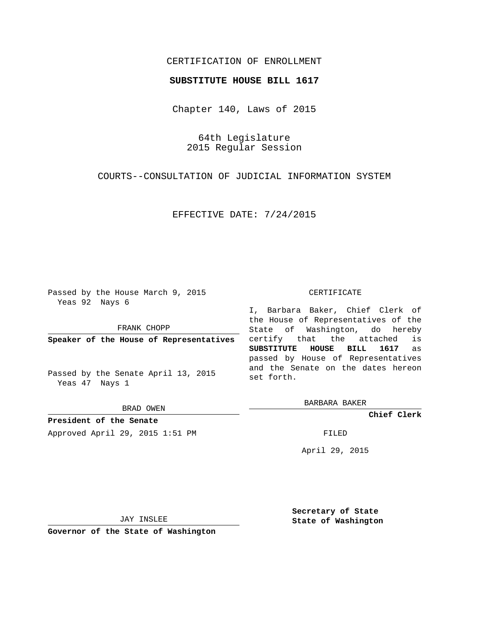## CERTIFICATION OF ENROLLMENT

## **SUBSTITUTE HOUSE BILL 1617**

Chapter 140, Laws of 2015

64th Legislature 2015 Regular Session

COURTS--CONSULTATION OF JUDICIAL INFORMATION SYSTEM

EFFECTIVE DATE: 7/24/2015

Passed by the House March 9, 2015 Yeas 92 Nays 6

FRANK CHOPP

**Speaker of the House of Representatives**

Passed by the Senate April 13, 2015 Yeas 47 Nays 1

BRAD OWEN

**President of the Senate** Approved April 29, 2015 1:51 PM FILED

## CERTIFICATE

I, Barbara Baker, Chief Clerk of the House of Representatives of the State of Washington, do hereby certify that the attached is **SUBSTITUTE HOUSE BILL 1617** as passed by House of Representatives and the Senate on the dates hereon set forth.

BARBARA BAKER

**Chief Clerk**

April 29, 2015

JAY INSLEE

**Governor of the State of Washington**

**Secretary of State State of Washington**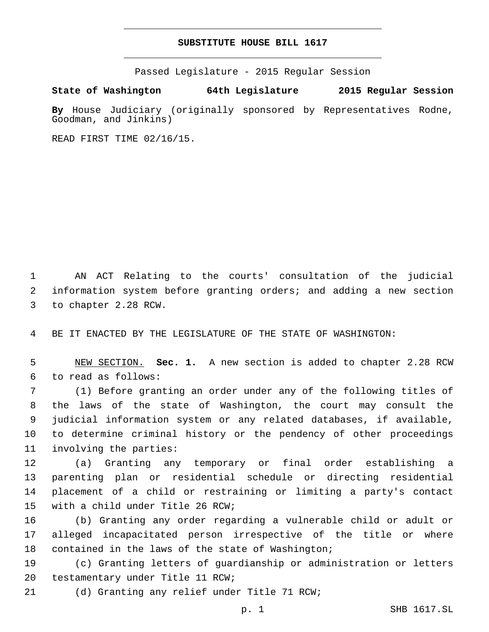## **SUBSTITUTE HOUSE BILL 1617**

Passed Legislature - 2015 Regular Session

**State of Washington 64th Legislature 2015 Regular Session**

**By** House Judiciary (originally sponsored by Representatives Rodne, Goodman, and Jinkins)

READ FIRST TIME 02/16/15.

1 AN ACT Relating to the courts' consultation of the judicial 2 information system before granting orders; and adding a new section 3 to chapter 2.28 RCW.

4 BE IT ENACTED BY THE LEGISLATURE OF THE STATE OF WASHINGTON:

5 NEW SECTION. **Sec. 1.** A new section is added to chapter 2.28 RCW 6 to read as follows:

 (1) Before granting an order under any of the following titles of the laws of the state of Washington, the court may consult the judicial information system or any related databases, if available, to determine criminal history or the pendency of other proceedings 11 involving the parties:

 (a) Granting any temporary or final order establishing a parenting plan or residential schedule or directing residential placement of a child or restraining or limiting a party's contact 15 with a child under Title 26 RCW;

16 (b) Granting any order regarding a vulnerable child or adult or 17 alleged incapacitated person irrespective of the title or where 18 contained in the laws of the state of Washington;

19 (c) Granting letters of guardianship or administration or letters 20 testamentary under Title 11 RCW;

(d) Granting any relief under Title 71 RCW;